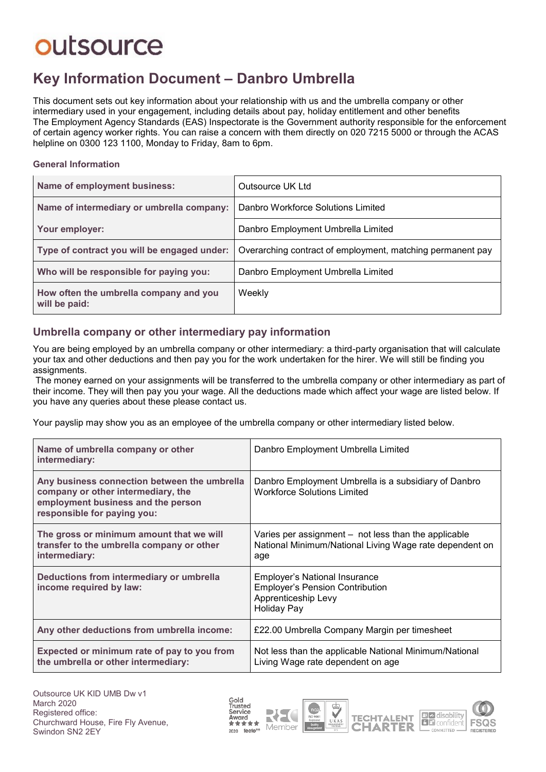# outsource

### **Key Information Document ‒ Danbro Umbrella**

This document sets out key information about your relationship with us and the umbrella company or other intermediary used in your engagement, including details about pay, holiday entitlement and other benefits The Employment Agency Standards (EAS) Inspectorate is the Government authority responsible for the enforcement of certain agency worker rights. You can raise a concern with them directly on 020 7215 5000 or through the ACAS helpline on 0300 123 1100, Monday to Friday, 8am to 6pm.

#### **General Information**

| Name of employment business:                            | Outsource UK Ltd                                           |  |
|---------------------------------------------------------|------------------------------------------------------------|--|
| Name of intermediary or umbrella company:               | Danbro Workforce Solutions Limited                         |  |
| Your employer:                                          | Danbro Employment Umbrella Limited                         |  |
| Type of contract you will be engaged under:             | Overarching contract of employment, matching permanent pay |  |
| Who will be responsible for paying you:                 | Danbro Employment Umbrella Limited                         |  |
| How often the umbrella company and you<br>will be paid: | Weekly                                                     |  |

#### **Umbrella company or other intermediary pay information**

You are being employed by an umbrella company or other intermediary: a third-party organisation that will calculate your tax and other deductions and then pay you for the work undertaken for the hirer. We will still be finding you assignments.

The money earned on your assignments will be transferred to the umbrella company or other intermediary as part of their income. They will then pay you your wage. All the deductions made which affect your wage are listed below. If you have any queries about these please contact us.

Your payslip may show you as an employee of the umbrella company or other intermediary listed below.

| Name of umbrella company or other<br>intermediary:                                                                                                      | Danbro Employment Umbrella Limited                                                                                          |  |
|---------------------------------------------------------------------------------------------------------------------------------------------------------|-----------------------------------------------------------------------------------------------------------------------------|--|
| Any business connection between the umbrella<br>company or other intermediary, the<br>employment business and the person<br>responsible for paying you: | Danbro Employment Umbrella is a subsidiary of Danbro<br><b>Workforce Solutions Limited</b>                                  |  |
| The gross or minimum amount that we will<br>transfer to the umbrella company or other<br>intermediary:                                                  | Varies per assignment – not less than the applicable<br>National Minimum/National Living Wage rate dependent on<br>age      |  |
| Deductions from intermediary or umbrella<br>income required by law:                                                                                     | <b>Employer's National Insurance</b><br><b>Employer's Pension Contribution</b><br>Apprenticeship Levy<br><b>Holiday Pay</b> |  |
| Any other deductions from umbrella income:                                                                                                              | £22.00 Umbrella Company Margin per timesheet                                                                                |  |
| Expected or minimum rate of pay to you from<br>the umbrella or other intermediary:                                                                      | Not less than the applicable National Minimum/National<br>Living Wage rate dependent on age                                 |  |

Gold Trusted Service Award  $\mathbb{R}$ 2020 feefo<sup>es</sup>







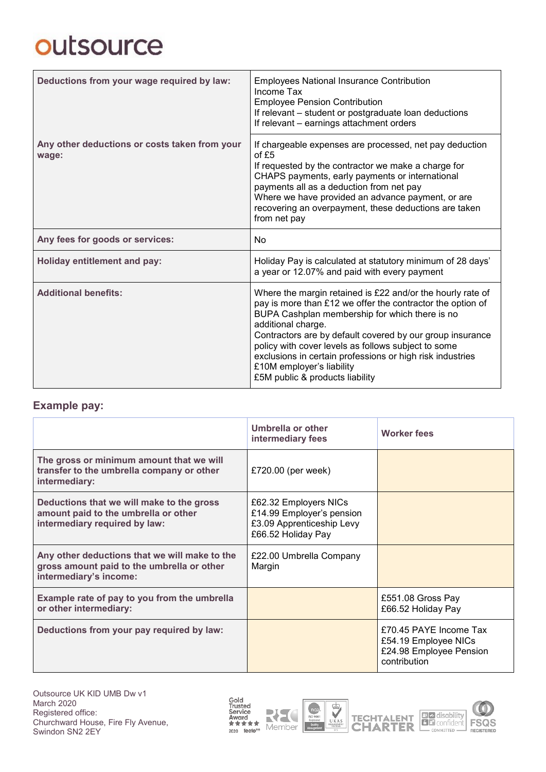# outsource

| Deductions from your wage required by law:             | <b>Employees National Insurance Contribution</b><br>Income Tax<br><b>Employee Pension Contribution</b><br>If relevant - student or postgraduate loan deductions<br>If relevant - earnings attachment orders                                                                                                                                                                                                                                       |  |
|--------------------------------------------------------|---------------------------------------------------------------------------------------------------------------------------------------------------------------------------------------------------------------------------------------------------------------------------------------------------------------------------------------------------------------------------------------------------------------------------------------------------|--|
| Any other deductions or costs taken from your<br>wage: | If chargeable expenses are processed, net pay deduction<br>of $£5$<br>If requested by the contractor we make a charge for<br>CHAPS payments, early payments or international<br>payments all as a deduction from net pay<br>Where we have provided an advance payment, or are<br>recovering an overpayment, these deductions are taken<br>from net pay                                                                                            |  |
| Any fees for goods or services:                        | <b>No</b>                                                                                                                                                                                                                                                                                                                                                                                                                                         |  |
| <b>Holiday entitlement and pay:</b>                    | Holiday Pay is calculated at statutory minimum of 28 days'<br>a year or 12.07% and paid with every payment                                                                                                                                                                                                                                                                                                                                        |  |
| <b>Additional benefits:</b>                            | Where the margin retained is £22 and/or the hourly rate of<br>pay is more than £12 we offer the contractor the option of<br>BUPA Cashplan membership for which there is no<br>additional charge.<br>Contractors are by default covered by our group insurance<br>policy with cover levels as follows subject to some<br>exclusions in certain professions or high risk industries<br>£10M employer's liability<br>£5M public & products liability |  |

### **Example pay:**

|                                                                                                                       | Umbrella or other<br>intermediary fees                                                                | <b>Worker fees</b>                                                                        |
|-----------------------------------------------------------------------------------------------------------------------|-------------------------------------------------------------------------------------------------------|-------------------------------------------------------------------------------------------|
| The gross or minimum amount that we will<br>transfer to the umbrella company or other<br>intermediary:                | £720.00 (per week)                                                                                    |                                                                                           |
| Deductions that we will make to the gross<br>amount paid to the umbrella or other<br>intermediary required by law:    | £62.32 Employers NICs<br>£14.99 Employer's pension<br>£3.09 Apprenticeship Levy<br>£66.52 Holiday Pay |                                                                                           |
| Any other deductions that we will make to the<br>gross amount paid to the umbrella or other<br>intermediary's income: | £22.00 Umbrella Company<br>Margin                                                                     |                                                                                           |
| Example rate of pay to you from the umbrella<br>or other intermediary:                                                |                                                                                                       | £551.08 Gross Pay<br>£66.52 Holiday Pay                                                   |
| Deductions from your pay required by law:                                                                             |                                                                                                       | £70.45 PAYE Income Tax<br>£54.19 Employee NICs<br>£24.98 Employee Pension<br>contribution |